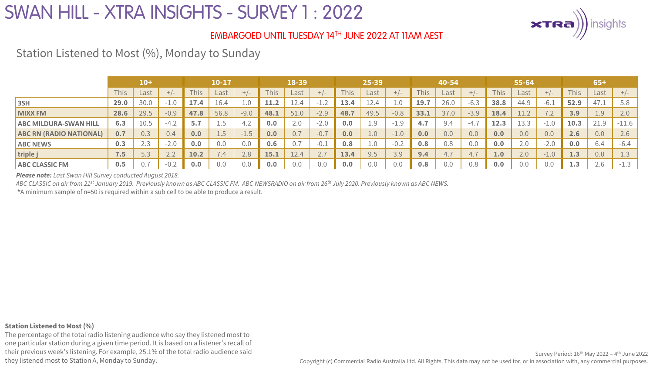

### EMBARGOED UNTIL TUESDAY 14TH JUNE 2022 AT 11AM AEST

Station Listened to Most (%), Monday to Sunday

|                                | $10+$ |      |        | 10-17 |                                   |                                  |      | 18-39 |              |             | 25-39            |        |             | 40-54 |        |      | 55-64 |              |             | $65+$ |         |  |
|--------------------------------|-------|------|--------|-------|-----------------------------------|----------------------------------|------|-------|--------------|-------------|------------------|--------|-------------|-------|--------|------|-------|--------------|-------------|-------|---------|--|
|                                | This  | Last |        | This  | Last                              | $-1-$                            | This | Last  | $+/-$        | <b>This</b> | Last             | $+/-$  | <b>This</b> | Last  |        | This | Last  | $+/-$        | <b>This</b> | Last  | $+/-$   |  |
| 3SH                            | 29.0  | 30.0 | $-1.0$ | 17.4  | 16.4                              | 1.0                              | 11.2 | 12.4  | ∵⊥.∠         | 13.4        | $\sim$<br>⊥2.4   | 1.0    | 19.7        | 26.0  | $-6.3$ | 38.8 | 44.9  | $-6.1$       | 52.9        | 47.1  | 5.8     |  |
| <b>MIXX FM</b>                 | 28.6  | 29.5 | $-0.9$ | 47.8  | 56.8                              | $-9.0$                           | 48.1 | 51.0  | $-2.9$       | 48.7        | 49.5             | $-0.8$ | 33.1        | 37.0  | $-3.9$ | 18.4 |       | $\sqrt{1.2}$ | 3.9         | 1.9   | 2.0     |  |
| <b>ABC MILDURA-SWAN HILL</b>   | 6.3   | 10.5 | $-4.2$ | 5.7   | 上。一                               | 4.2                              | 0.0  | 2.0   | $-2.0$       | 0.0         | 1.9              | $-1.9$ | 4.7         | 9.4   | $-4.1$ | 12.3 | 13.3  | $-1.0$       | 10.3        | 21.9  | $-11.6$ |  |
| <b>ABC RN (RADIO NATIONAL)</b> | 0.7   | 0.3  | 0.4    | 0.0   | $\perp$ .J                        | 1.5'<br>$\overline{\phantom{0}}$ | 0.0  |       | $-0.7$       | 0.0         | 1.0 <sub>1</sub> | $-1.0$ | 0.0         | 0.0   | 0.0    | 0.0  | 0.0   | 0.0          | 2.6         | 0.0   | 2.6     |  |
| <b>ABC NEWS</b>                | 0.3   | د.∠  | $-2.0$ | 0.0   | 0.0                               | 0.0                              | 0.6  | 0.7   | $-0.1$       | 0.8         | 1.0              | $-0.2$ | 0.8         | 0.8   | 0.0    | 0.0  | 2.0   | $-2.0$       | 0.0         | 6.4   | $-6.4$  |  |
| triple j                       | 7.5   | 5.3  | 2.2    | 10.2  | $\overline{\phantom{0}}$<br>(0.4) | 2.8                              | 15.1 | 12.4  | $\sim \cdot$ | 13.4        | 9.5              | 3.9    | 9.4         | 4.7   | 4.7    | 1.0  | 2.0   | $-1.0$       | 1.3         | 0.0   | 1.3     |  |
| <b>ABC CLASSIC FM</b>          | 0.5   | 0.7  | $-0.2$ | 0.0   | 0.0                               | 0.0                              | 0.0  | 0.0   | 0.0          | 0.0         | 0.0              | 0.0    | 0.8         | 0.0   | 0.8    | 0.0  | 0.0   | 0.0          | 1.3         | 2.6   | $-1.3$  |  |

*Please note: Last Swan Hill Survey conducted August 2018.* 

*ABC CLASSIC on air from 21st January 2019. Previously known as ABC CLASSIC FM. ABC NEWSRADIO on air from 26th July 2020. Previously known as ABC NEWS.*

**\***A minimum sample of n=50 is required within a sub cell to be able to produce a result.

#### **Station Listened to Most (%)**

The percentage of the total radio listening audience who say they listened most to one particular station during a given time period. It is based on a listener's recall of their previous week's listening. For example, 25.1% of the total radio audience said they listened most to Station A, Monday to Sunday.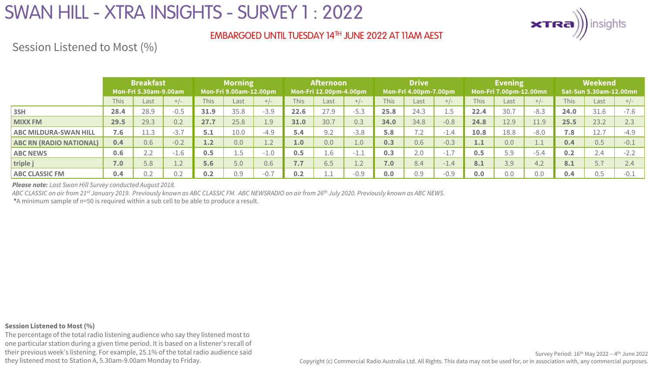

### EMBARGOED UNTIL TUESDAY 14TH JUNE 2022 AT 11AM AEST

Session Listened to Most (%)

|                                | <b>Breakfast</b><br><b>Mon-Fri 5.30am-9.00am</b> |      | <b>Morning</b><br>Mon-Fri 9.00am-12.00pm |      |      | <b>Afternoon</b><br>Mon-Fri 12.00pm-4.00pm |             |      |        | <b>Drive</b><br>Mon-Fri 4.00pm-7.00pm |      |                  | <b>Evening</b><br>Mon-Fri 7.00pm-12.00mn |      | <b>Weekend</b><br><b>Sat-Sun 5.30am-12.00mn</b> |             |      |        |
|--------------------------------|--------------------------------------------------|------|------------------------------------------|------|------|--------------------------------------------|-------------|------|--------|---------------------------------------|------|------------------|------------------------------------------|------|-------------------------------------------------|-------------|------|--------|
|                                | <b>This</b>                                      | Last | $+/-$                                    | This | Last | $+/-$                                      | <b>This</b> | Last |        | <b>This</b>                           | Last | $+/-$            | This                                     | Last | $+/-$                                           | <b>This</b> | Last |        |
| 3SH                            | 28.4                                             | 28.9 | $-0.5$                                   | 31.9 | 35.8 | $-3.9$                                     | 22.6        | 27.9 | $-5.3$ | 25.8                                  | 24.3 | 1.5              | 22.4                                     | 30.7 | $-8.3$                                          | 24.0        | 31.6 | $-7.6$ |
| <b>MIXX FM</b>                 | 29.5                                             | 29.3 | 0.2                                      | 27.7 | 25.8 | 1.9                                        | 31.0        | 30.7 | 0.3    | 34.0                                  | 34.8 | $-0.8$           | 24.8                                     | 12.9 | 11.9                                            | 25.5        | 23.2 | 2.3    |
| <b>ABC MILDURA-SWAN HILL</b>   | 7.6                                              | 11.3 | $-3.7$                                   | 5.1  | 10.0 | $-4.9$                                     | 5.4         | 9.2  | $-3.8$ | 5.8                                   | 7.2  | $-1.4$           | 10.8                                     | 18.8 | $-8.0$                                          | 7.8         | 12.7 | $-4.9$ |
| <b>ABC RN (RADIO NATIONAL)</b> | 0.4                                              | 0.6  | $-0.2$                                   | 1.2  | 0.0  | 1.2                                        | 1.0         | 0.0  | 1.0    | 0.3                                   | 0.6  | $-0.3$           | 1.1                                      | 0.0  | ᅩᆞᅩ                                             | 0.4         | 0.5  | $-0.1$ |
| <b>ABC NEWS</b>                | 0.6                                              | 2.2  | $-1.6$                                   | 0.5  | t.5  | $-1.0$                                     | 0.5         | 1.6  | -1.1   | 0.3                                   | 2.0  | $\sim$<br>$-1.1$ | 0.5                                      | 5.9  | $-5.4$                                          | 0.2         | 2.4  | $-2.2$ |
| triple j                       | 7.0                                              | 5.8  | $\bigcap$<br>$\perp$ . $\perp$           | 5.6  | 5.0  | 0.6                                        | 7.7         | 6.5  | 1.2    | 7.0                                   | 8.4  | $-1.4$           | 8.1                                      | 3.9  | 4.2                                             | 8.1         | 5.7  | 2.4    |
| <b>ABC CLASSIC FM</b>          | 0.4                                              | 0.2  | 0.2                                      | 0.2  | 0.9  | $-0.7$                                     | 0.2         |      | $-0.9$ | 0.0                                   | 0.9  | $-0.9$           | 0.0                                      | 0.0  | 0.0                                             | 0.4         | 0.5  | $-0.1$ |

*Please note: Last Swan Hill Survey conducted August 2018.* 

*ABC CLASSIC on air from 21st January 2019. Previously known as ABC CLASSIC FM. ABC NEWSRADIO on air from 26th July 2020. Previously known as ABC NEWS.*

**\***A minimum sample of n=50 is required within a sub cell to be able to produce a result.

#### **Session Listened to Most (%)**

The percentage of the total radio listening audience who say they listened most to one particular station during a given time period. It is based on a listener's recall of their previous week's listening. For example, 25.1% of the total radio audience said they listened most to Station A, 5.30am-9.00am Monday to Friday.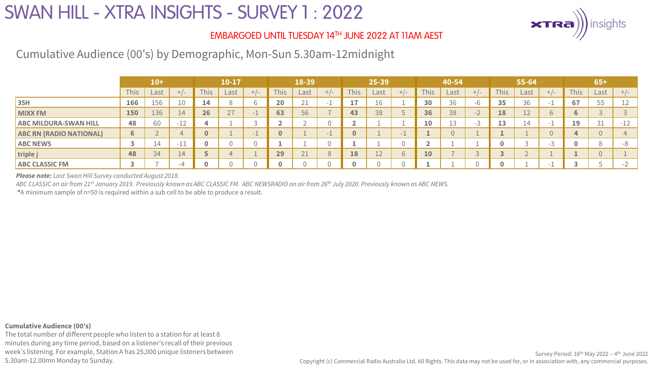

### EMBARGOED UNTIL TUESDAY 14TH JUNE 2022 AT 11AM AEST

Cumulative Audience (00's) by Demographic, Mon-Sun 5.30am-12midnight

|                                | $10+$        |           |                 | 10-17           |      |       | 18-39 |                   |       | 25-39       |      |                          | 40-54       |      |       | 55-64       |      |                          | $65+$       |      |               |
|--------------------------------|--------------|-----------|-----------------|-----------------|------|-------|-------|-------------------|-------|-------------|------|--------------------------|-------------|------|-------|-------------|------|--------------------------|-------------|------|---------------|
|                                | <b>This</b>  | Last      | $+/-$           | This.           | Last | $+/-$ | This  | Last              | $-1-$ | <b>This</b> | Last |                          | <b>This</b> | Last | $+1-$ | <b>This</b> | Last | $+/-$                    | <b>This</b> | Last | $+/-$         |
| 3SH                            | 166          | 156       |                 | $\overline{14}$ | Õ    |       | 20    | $\bigcap$ 1<br>∠⊥ |       | 17          | ⊥b ∣ |                          | 30          | 36   |       | 35          | 36   | $\overline{\phantom{a}}$ | 67          | 55   | ∸∸            |
| <b>MIXX FM</b>                 | 150          | 136       | 14 <sup>7</sup> | 26              | 27   |       | 63    | 56                |       | 43          | 38   |                          | 36          | 38   | $-1$  | 18          | 12   | b                        | 6           |      |               |
| <b>ABC MILDURA-SWAN HILL</b>   | 48           | 60        | $-12$           |                 |      |       |       |                   |       |             |      |                          | 10          | ∸−   |       | 13          | 14   | $\overline{\phantom{a}}$ | 19          | 31   | $-12$         |
| <b>ABC RN (RADIO NATIONAL)</b> | $\mathbf{b}$ |           |                 |                 |      |       |       |                   |       |             |      | $\overline{\phantom{a}}$ |             |      |       |             |      |                          |             |      |               |
| <b>ABC NEWS</b>                |              | $\perp$ 4 | -11             |                 |      |       |       |                   |       |             |      |                          |             |      |       |             |      | -3                       |             |      |               |
| triple j                       | 48           | 34        | $\overline{14}$ |                 |      |       | 29    | 21<br>21          |       | 18          | ᅩᄼ   |                          | 10          |      |       |             |      |                          |             |      |               |
| <b>ABC CLASSIC FM</b>          |              |           |                 |                 |      |       |       |                   |       |             |      |                          |             |      |       |             |      | - -                      |             |      | $\sim$ $\sim$ |

*Please note: Last Swan Hill Survey conducted August 2018.* 

*ABC CLASSIC on air from 21st January 2019. Previously known as ABC CLASSIC FM. ABC NEWSRADIO on air from 26th July 2020. Previously known as ABC NEWS.*

**\***A minimum sample of n=50 is required within a sub cell to be able to produce a result.

#### **Cumulative Audience (00's)**

The total number of different people who listen to a station for at least 8 minutes during any time period, based on a listener's recall of their previous week's listening. For example, Station A has 25,000 unique listeners between 5.30am-12.00mn Monday to Sunday.